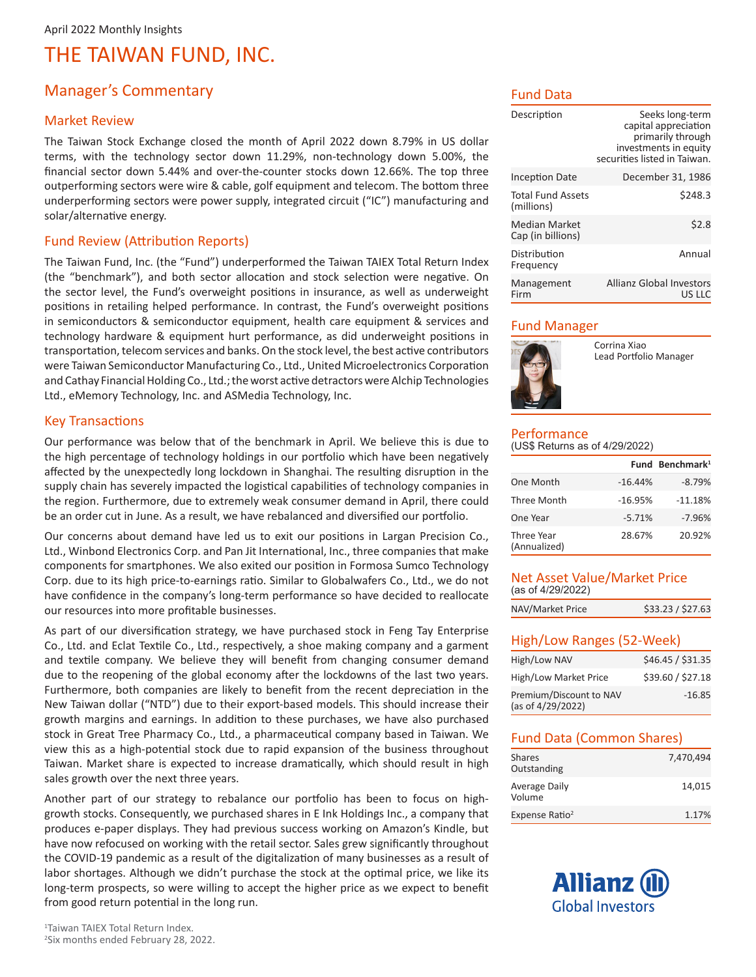## Manager's Commentary

#### Market Review

The Taiwan Stock Exchange closed the month of April 2022 down 8.79% in US dollar terms, with the technology sector down 11.29%, non-technology down 5.00%, the financial sector down 5.44% and over-the-counter stocks down 12.66%. The top three outperforming sectors were wire & cable, golf equipment and telecom. The bottom three underperforming sectors were power supply, integrated circuit ("IC") manufacturing and solar/alternative energy.

#### Fund Review (Attribution Reports)

The Taiwan Fund, Inc. (the "Fund") underperformed the Taiwan TAIEX Total Return Index (the "benchmark"), and both sector allocation and stock selection were negative. On the sector level, the Fund's overweight positions in insurance, as well as underweight positions in retailing helped performance. In contrast, the Fund's overweight positions in semiconductors & semiconductor equipment, health care equipment & services and technology hardware & equipment hurt performance, as did underweight positions in transportation, telecom services and banks. On the stock level, the best active contributors were Taiwan Semiconductor Manufacturing Co., Ltd., United Microelectronics Corporation and Cathay Financial Holding Co., Ltd.; the worst active detractors were Alchip Technologies Ltd., eMemory Technology, Inc. and ASMedia Technology, Inc.

#### Key Transactions

Our performance was below that of the benchmark in April. We believe this is due to the high percentage of technology holdings in our portfolio which have been negatively affected by the unexpectedly long lockdown in Shanghai. The resulting disruption in the supply chain has severely impacted the logistical capabilities of technology companies in the region. Furthermore, due to extremely weak consumer demand in April, there could be an order cut in June. As a result, we have rebalanced and diversified our portfolio.

Our concerns about demand have led us to exit our positions in Largan Precision Co., Ltd., Winbond Electronics Corp. and Pan Jit International, Inc., three companies that make components for smartphones. We also exited our position in Formosa Sumco Technology Corp. due to its high price-to-earnings ratio. Similar to Globalwafers Co., Ltd., we do not have confidence in the company's long-term performance so have decided to reallocate our resources into more profitable businesses.

As part of our diversification strategy, we have purchased stock in Feng Tay Enterprise Co., Ltd. and Eclat Textile Co., Ltd., respectively, a shoe making company and a garment and textile company. We believe they will benefit from changing consumer demand due to the reopening of the global economy after the lockdowns of the last two years. Furthermore, both companies are likely to benefit from the recent depreciation in the New Taiwan dollar ("NTD") due to their export-based models. This should increase their growth margins and earnings. In addition to these purchases, we have also purchased stock in Great Tree Pharmacy Co., Ltd., a pharmaceutical company based in Taiwan. We view this as a high-potential stock due to rapid expansion of the business throughout Taiwan. Market share is expected to increase dramatically, which should result in high sales growth over the next three years.

Another part of our strategy to rebalance our portfolio has been to focus on highgrowth stocks. Consequently, we purchased shares in E Ink Holdings Inc., a company that produces e-paper displays. They had previous success working on Amazon's Kindle, but have now refocused on working with the retail sector. Sales grew significantly throughout the COVID-19 pandemic as a result of the digitalization of many businesses as a result of labor shortages. Although we didn't purchase the stock at the optimal price, we like its long-term prospects, so were willing to accept the higher price as we expect to benefit from good return potential in the long run.

#### Fund Data

| Description                            | Seeks long-term<br>capital appreciation<br>primarily through<br>investments in equity<br>securities listed in Taiwan. |
|----------------------------------------|-----------------------------------------------------------------------------------------------------------------------|
| <b>Inception Date</b>                  | December 31, 1986                                                                                                     |
| <b>Total Fund Assets</b><br>(millions) | \$248.3                                                                                                               |
| Median Market<br>Cap (in billions)     | \$2.8                                                                                                                 |
| Distribution<br>Frequency              | Annual                                                                                                                |
| Management<br>Firm                     | Allianz Global Investors<br>US LLC                                                                                    |

#### Fund Manager



Corrina Xiao Lead Portfolio Manager

# Performance

|  |  | (US\$ Returns as of 4/29/2022) |  |
|--|--|--------------------------------|--|
|  |  |                                |  |

|                            |           | Fund Benchmark <sup>1</sup> |
|----------------------------|-----------|-----------------------------|
| One Month                  | $-16.44%$ | $-8.79%$                    |
| <b>Three Month</b>         | $-16.95%$ | $-11.18%$                   |
| One Year                   | $-5.71%$  | $-7.96%$                    |
| Three Year<br>(Annualized) | 28.67%    | 20.92%                      |

#### Net Asset Value/Market Price (as of 4/29/2022)

| NAV/Market Price | \$33.23 / \$27.63 |
|------------------|-------------------|
|                  |                   |

#### High/Low Ranges (52-Week)

| High/Low NAV                                 | \$46.45 / \$31.35 |
|----------------------------------------------|-------------------|
| High/Low Market Price                        | \$39.60 / \$27.18 |
| Premium/Discount to NAV<br>(as of 4/29/2022) | $-16.85$          |

#### Fund Data (Common Shares)

| Shares<br>Outstanding      | 7,470,494 |
|----------------------------|-----------|
| Average Daily<br>Volume    | 14.015    |
| Expense Ratio <sup>2</sup> | 1.17%     |

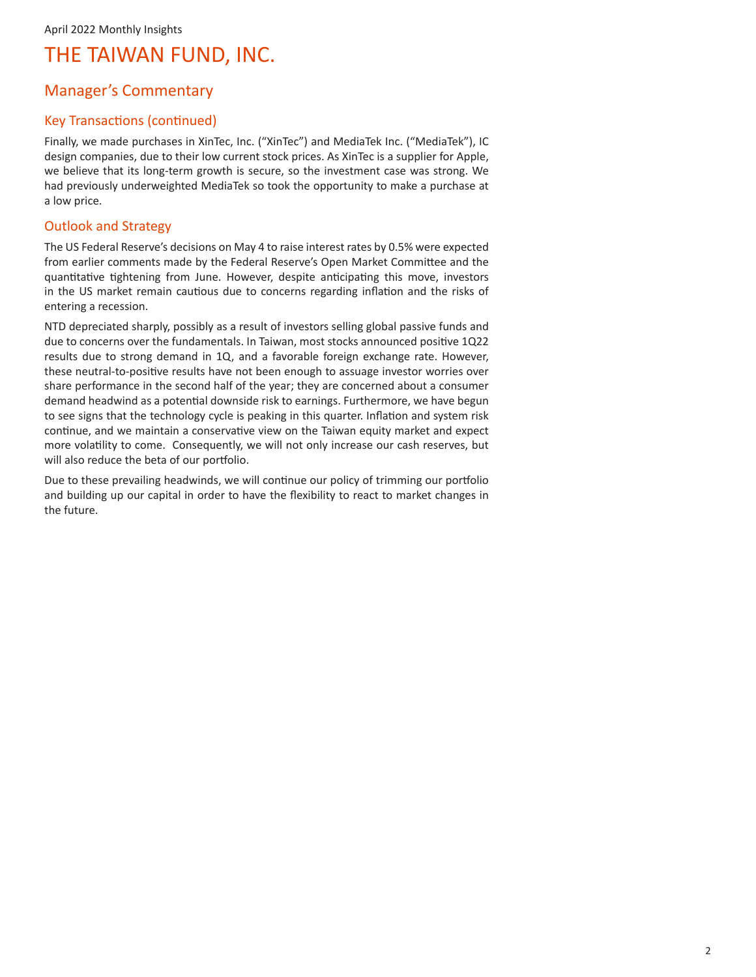## Manager's Commentary

### Key Transactions (continued)

Finally, we made purchases in XinTec, Inc. ("XinTec") and MediaTek Inc. ("MediaTek"), IC design companies, due to their low current stock prices. As XinTec is a supplier for Apple, we believe that its long-term growth is secure, so the investment case was strong. We had previously underweighted MediaTek so took the opportunity to make a purchase at a low price.

### Outlook and Strategy

The US Federal Reserve's decisions on May 4 to raise interest rates by 0.5% were expected from earlier comments made by the Federal Reserve's Open Market Committee and the quantitative tightening from June. However, despite anticipating this move, investors in the US market remain cautious due to concerns regarding inflation and the risks of entering a recession.

NTD depreciated sharply, possibly as a result of investors selling global passive funds and due to concerns over the fundamentals. In Taiwan, most stocks announced positive 1Q22 results due to strong demand in 1Q, and a favorable foreign exchange rate. However, these neutral-to-positive results have not been enough to assuage investor worries over share performance in the second half of the year; they are concerned about a consumer demand headwind as a potential downside risk to earnings. Furthermore, we have begun to see signs that the technology cycle is peaking in this quarter. Inflation and system risk continue, and we maintain a conservative view on the Taiwan equity market and expect more volatility to come. Consequently, we will not only increase our cash reserves, but will also reduce the beta of our portfolio.

Due to these prevailing headwinds, we will continue our policy of trimming our portfolio and building up our capital in order to have the flexibility to react to market changes in the future.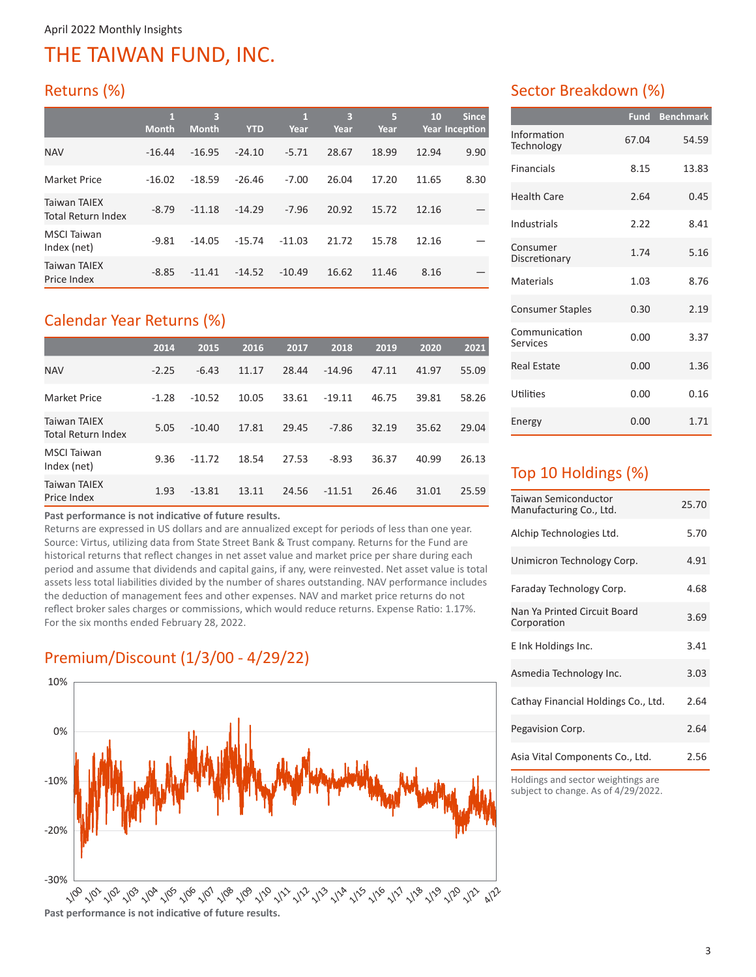# Returns (%)

|                                           | $\mathbf{1}$<br><b>Month</b> | 3<br><b>Month</b> | <b>YTD</b> | $\mathbf{1}$<br>Year | 3<br>Year | 5<br>Year | 10    | <b>Since</b><br><b>Year Inception</b> |
|-------------------------------------------|------------------------------|-------------------|------------|----------------------|-----------|-----------|-------|---------------------------------------|
| <b>NAV</b>                                | $-16.44$                     | $-16.95$          | $-24.10$   | $-5.71$              | 28.67     | 18.99     | 12.94 | 9.90                                  |
| Market Price                              | $-16.02$                     | $-18.59$          | $-26.46$   | $-7.00$              | 26.04     | 17.20     | 11.65 | 8.30                                  |
| Taiwan TAIEX<br><b>Total Return Index</b> | $-8.79$                      | $-11.18$          | $-14.29$   | $-7.96$              | 20.92     | 15.72     | 12.16 |                                       |
| <b>MSCI</b> Taiwan<br>Index (net)         | $-9.81$                      | $-14.05$          | $-15.74$   | $-11.03$             | 21.72     | 15.78     | 12.16 |                                       |
| <b>Taiwan TAIEX</b><br>Price Index        | $-8.85$                      | $-11.41$          | $-14.52$   | $-10.49$             | 16.62     | 11.46     | 8.16  |                                       |

# Calendar Year Returns (%)

|                                           | 2014    | 2015     | 2016  | 2017  | 2018     | 2019  | 2020  | 2021  |
|-------------------------------------------|---------|----------|-------|-------|----------|-------|-------|-------|
| <b>NAV</b>                                | $-2.25$ | $-6.43$  | 11.17 | 28.44 | $-14.96$ | 47.11 | 41.97 | 55.09 |
| <b>Market Price</b>                       | $-1.28$ | $-10.52$ | 10.05 | 33.61 | $-19.11$ | 46.75 | 39.81 | 58.26 |
| <b>Taiwan TAIEX</b><br>Total Return Index | 5.05    | $-10.40$ | 17.81 | 29.45 | $-7.86$  | 32.19 | 35.62 | 29.04 |
| <b>MSCI Taiwan</b><br>Index (net)         | 9.36    | $-11.72$ | 18.54 | 27.53 | $-8.93$  | 36.37 | 40.99 | 26.13 |
| <b>Taiwan TAIEX</b><br>Price Index        | 1.93    | $-13.81$ | 13.11 | 24.56 | $-11.51$ | 26.46 | 31.01 | 25.59 |

**Past performance is not indicative of future results.** 

Returns are expressed in US dollars and are annualized except for periods of less than one year. Source: Virtus, utilizing data from State Street Bank & Trust company. Returns for the Fund are historical returns that reflect changes in net asset value and market price per share during each period and assume that dividends and capital gains, if any, were reinvested. Net asset value is total assets less total liabilities divided by the number of shares outstanding. NAV performance includes the deduction of management fees and other expenses. NAV and market price returns do not reflect broker sales charges or commissions, which would reduce returns. Expense Ratio: 1.17%. For the six months ended February 28, 2022.

# Premium/Discount (1/3/00 - 4/29/22)



### Sector Breakdown (%)

|                           | <b>Fund</b> | <b>Benchmark</b> |
|---------------------------|-------------|------------------|
| Information<br>Technology | 67.04       | 54.59            |
| <b>Financials</b>         | 8.15        | 13.83            |
| <b>Health Care</b>        | 2.64        | 0.45             |
| Industrials               | 2.22        | 8.41             |
| Consumer<br>Discretionary | 1.74        | 5.16             |
| Materials                 | 1.03        | 8.76             |
| <b>Consumer Staples</b>   | 0.30        | 2.19             |
| Communication<br>Services | 0.00        | 3.37             |
| <b>Real Estate</b>        | 0.00        | 1.36             |
| Utilities                 | 0.00        | 0.16             |
| Energy                    | 0.00        | 1.71             |

## Top 10 Holdings (%)

| Taiwan Semiconductor<br>Manufacturing Co., Ltd. | 25.70 |
|-------------------------------------------------|-------|
| Alchip Technologies Ltd.                        | 5.70  |
| Unimicron Technology Corp.                      | 4.91  |
| Faraday Technology Corp.                        | 4.68  |
| Nan Ya Printed Circuit Board<br>Corporation     | 3.69  |
| E Ink Holdings Inc.                             | 3.41  |
| Asmedia Technology Inc.                         | 3.03  |
| Cathay Financial Holdings Co., Ltd.             | 2.64  |
| Pegavision Corp.                                | 2.64  |
| Asia Vital Components Co., Ltd.                 | 2.56  |

Holdings and sector weightings are subject to change. As of 4/29/2022.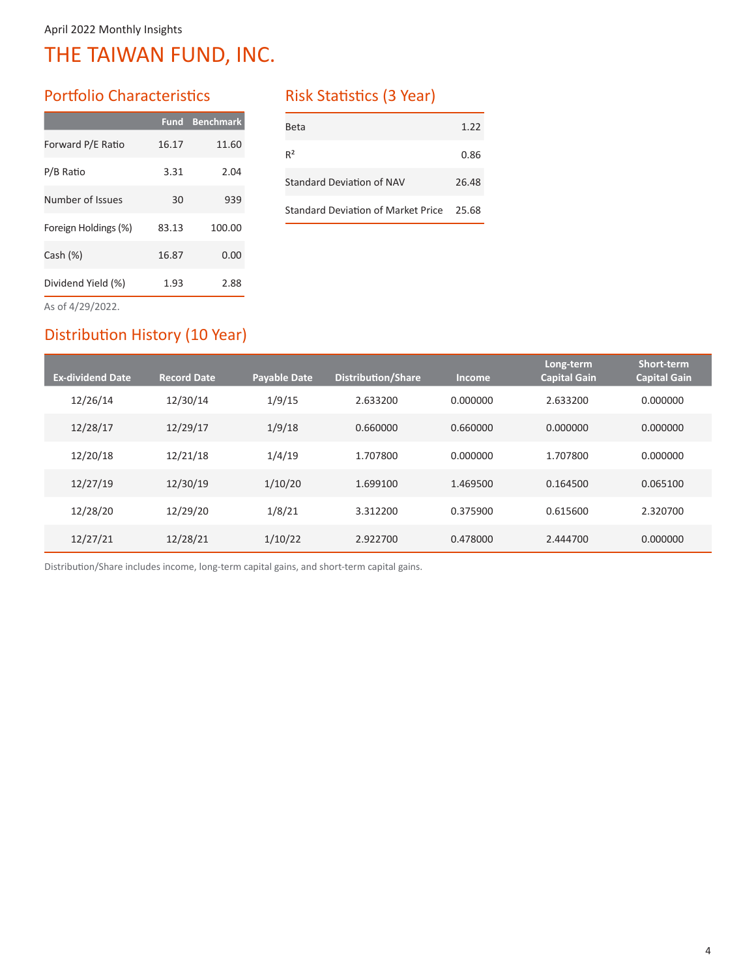## Portfolio Characteristics

|                      | <b>Fund</b> | <b>Benchmark</b> |
|----------------------|-------------|------------------|
| Forward P/E Ratio    | 16.17       | 11.60            |
| P/B Ratio            | 3.31        | 2.04             |
| Number of Issues     | 30          | 939              |
| Foreign Holdings (%) | 83.13       | 100.00           |
| Cash $(%)$           | 16.87       | 0.00             |
| Dividend Yield (%)   | 1.93        | 2.88             |
| $A - L A$ /20/2022   |             |                  |

### Risk Statistics (3 Year)

| Beta                                     | 1.22  |
|------------------------------------------|-------|
| $R^2$                                    | 0.86  |
| Standard Deviation of NAV                | 26.48 |
| Standard Deviation of Market Price 25.68 |       |

As of 4/29/2022.

## Distribution History (10 Year)

| <b>Ex-dividend Date</b> | <b>Record Date</b> | <b>Payable Date</b> | <b>Distribution/Share</b> | <b>Income</b> | Long-term<br><b>Capital Gain</b> | Short-term<br><b>Capital Gain</b> |
|-------------------------|--------------------|---------------------|---------------------------|---------------|----------------------------------|-----------------------------------|
| 12/26/14                | 12/30/14           | 1/9/15              | 2.633200                  | 0.000000      | 2.633200                         | 0.000000                          |
| 12/28/17                | 12/29/17           | 1/9/18              | 0.660000                  | 0.660000      | 0.000000                         | 0.000000                          |
| 12/20/18                | 12/21/18           | 1/4/19              | 1.707800                  | 0.000000      | 1.707800                         | 0.000000                          |
| 12/27/19                | 12/30/19           | 1/10/20             | 1.699100                  | 1.469500      | 0.164500                         | 0.065100                          |
| 12/28/20                | 12/29/20           | 1/8/21              | 3.312200                  | 0.375900      | 0.615600                         | 2.320700                          |
| 12/27/21                | 12/28/21           | 1/10/22             | 2.922700                  | 0.478000      | 2.444700                         | 0.000000                          |

Distribution/Share includes income, long-term capital gains, and short-term capital gains.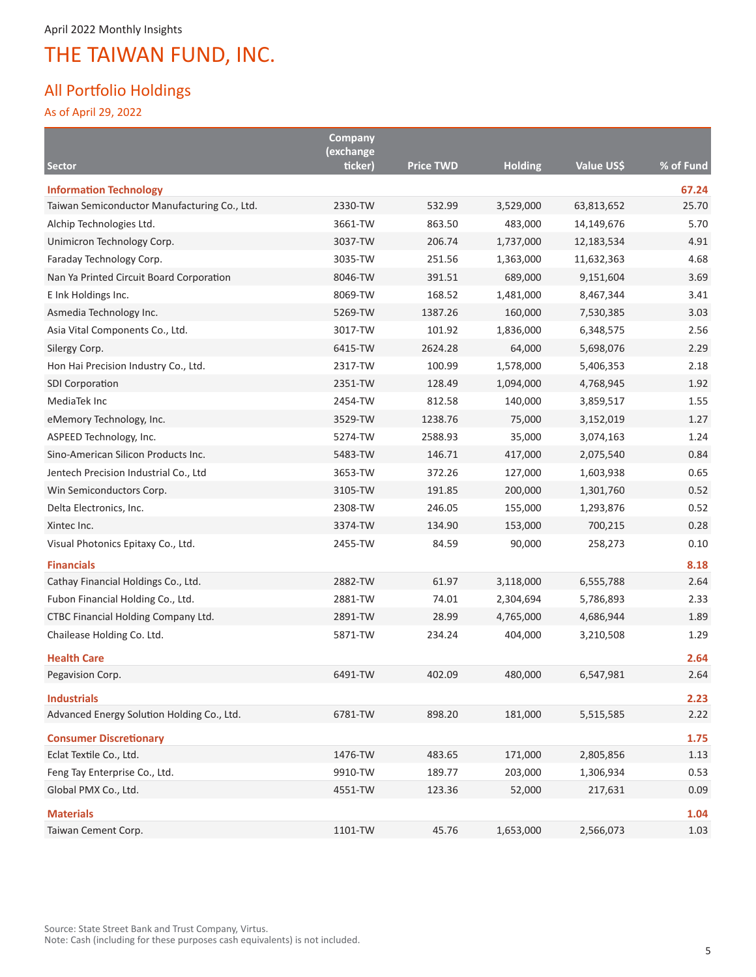## All Portfolio Holdings

As of April 29, 2022

|                                                                  | <b>Company</b><br>(exchange |                  |                |            |              |
|------------------------------------------------------------------|-----------------------------|------------------|----------------|------------|--------------|
| Sector                                                           | ticker)                     | <b>Price TWD</b> | <b>Holding</b> | Value US\$ | % of Fund    |
| <b>Information Technology</b>                                    |                             |                  |                |            | 67.24        |
| Taiwan Semiconductor Manufacturing Co., Ltd.                     | 2330-TW                     | 532.99           | 3,529,000      | 63,813,652 | 25.70        |
| Alchip Technologies Ltd.                                         | 3661-TW                     | 863.50           | 483,000        | 14,149,676 | 5.70         |
| Unimicron Technology Corp.                                       | 3037-TW                     | 206.74           | 1,737,000      | 12,183,534 | 4.91         |
| Faraday Technology Corp.                                         | 3035-TW                     | 251.56           | 1,363,000      | 11,632,363 | 4.68         |
| Nan Ya Printed Circuit Board Corporation                         | 8046-TW                     | 391.51           | 689,000        | 9,151,604  | 3.69         |
| E Ink Holdings Inc.                                              | 8069-TW                     | 168.52           | 1,481,000      | 8,467,344  | 3.41         |
| Asmedia Technology Inc.                                          | 5269-TW                     | 1387.26          | 160,000        | 7,530,385  | 3.03         |
| Asia Vital Components Co., Ltd.                                  | 3017-TW                     | 101.92           | 1,836,000      | 6,348,575  | 2.56         |
| Silergy Corp.                                                    | 6415-TW                     | 2624.28          | 64,000         | 5,698,076  | 2.29         |
| Hon Hai Precision Industry Co., Ltd.                             | 2317-TW                     | 100.99           | 1,578,000      | 5,406,353  | 2.18         |
| <b>SDI Corporation</b>                                           | 2351-TW                     | 128.49           | 1,094,000      | 4,768,945  | 1.92         |
| MediaTek Inc                                                     | 2454-TW                     | 812.58           | 140,000        | 3,859,517  | 1.55         |
| eMemory Technology, Inc.                                         | 3529-TW                     | 1238.76          | 75,000         | 3,152,019  | 1.27         |
| ASPEED Technology, Inc.                                          | 5274-TW                     | 2588.93          | 35,000         | 3,074,163  | 1.24         |
| Sino-American Silicon Products Inc.                              | 5483-TW                     | 146.71           | 417,000        | 2,075,540  | 0.84         |
| Jentech Precision Industrial Co., Ltd                            | 3653-TW                     | 372.26           | 127,000        | 1,603,938  | 0.65         |
| Win Semiconductors Corp.                                         | 3105-TW                     | 191.85           | 200,000        | 1,301,760  | 0.52         |
| Delta Electronics, Inc.                                          | 2308-TW                     | 246.05           | 155,000        | 1,293,876  | 0.52         |
| Xintec Inc.                                                      | 3374-TW                     | 134.90           | 153,000        | 700,215    | 0.28         |
| Visual Photonics Epitaxy Co., Ltd.                               | 2455-TW                     | 84.59            | 90,000         | 258,273    | 0.10         |
| <b>Financials</b>                                                |                             |                  |                |            | 8.18         |
| Cathay Financial Holdings Co., Ltd.                              | 2882-TW                     | 61.97            | 3,118,000      | 6,555,788  | 2.64         |
| Fubon Financial Holding Co., Ltd.                                | 2881-TW                     | 74.01            | 2,304,694      | 5,786,893  | 2.33         |
| CTBC Financial Holding Company Ltd.                              | 2891-TW                     | 28.99            | 4,765,000      | 4,686,944  | 1.89         |
| Chailease Holding Co. Ltd.                                       | 5871-TW                     | 234.24           | 404,000        | 3,210,508  | 1.29         |
| <b>Health Care</b>                                               |                             |                  |                |            | 2.64         |
| Pegavision Corp.                                                 | 6491-TW                     | 402.09           | 480,000        | 6,547,981  | 2.64         |
|                                                                  |                             |                  |                |            |              |
| <b>Industrials</b><br>Advanced Energy Solution Holding Co., Ltd. | 6781-TW                     | 898.20           | 181,000        | 5,515,585  | 2.23<br>2.22 |
|                                                                  |                             |                  |                |            |              |
| <b>Consumer Discretionary</b>                                    |                             |                  |                |            | 1.75         |
| Eclat Textile Co., Ltd.                                          | 1476-TW                     | 483.65           | 171,000        | 2,805,856  | 1.13         |
| Feng Tay Enterprise Co., Ltd.                                    | 9910-TW                     | 189.77           | 203,000        | 1,306,934  | 0.53         |
| Global PMX Co., Ltd.                                             | 4551-TW                     | 123.36           | 52,000         | 217,631    | 0.09         |
| <b>Materials</b>                                                 |                             |                  |                |            | 1.04         |
| Taiwan Cement Corp.                                              | 1101-TW                     | 45.76            | 1,653,000      | 2,566,073  | 1.03         |